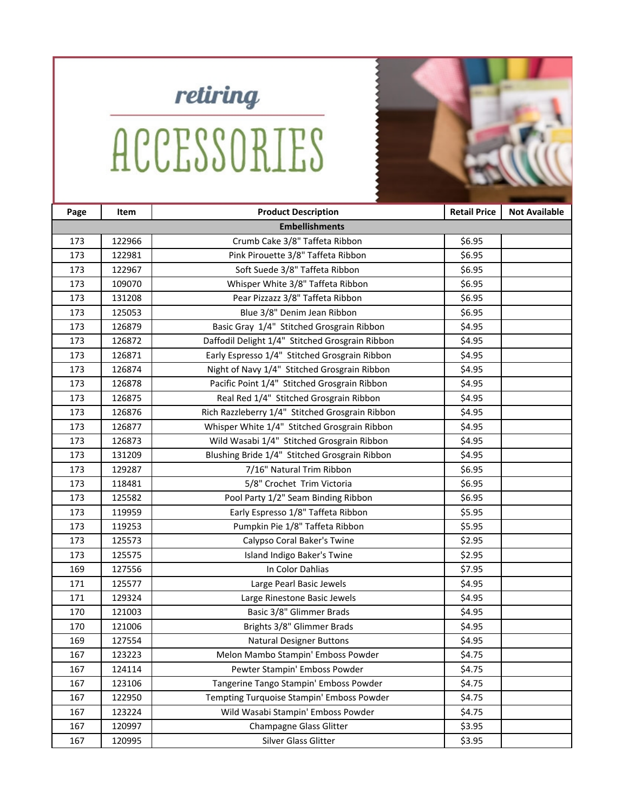

## **ACCESSORIES**



| <b>Embellishments</b>                                                      |  |
|----------------------------------------------------------------------------|--|
| Crumb Cake 3/8" Taffeta Ribbon<br>122966<br>\$6.95<br>173                  |  |
| Pink Pirouette 3/8" Taffeta Ribbon<br>173<br>122981<br>\$6.95              |  |
| Soft Suede 3/8" Taffeta Ribbon<br>122967<br>\$6.95<br>173                  |  |
| Whisper White 3/8" Taffeta Ribbon<br>\$6.95<br>173<br>109070               |  |
| Pear Pizzazz 3/8" Taffeta Ribbon<br>173<br>131208<br>\$6.95                |  |
| 125053<br>Blue 3/8" Denim Jean Ribbon<br>\$6.95<br>173                     |  |
| Basic Gray 1/4" Stitched Grosgrain Ribbon<br>173<br>126879<br>\$4.95       |  |
| Daffodil Delight 1/4" Stitched Grosgrain Ribbon<br>126872<br>\$4.95<br>173 |  |
| Early Espresso 1/4" Stitched Grosgrain Ribbon<br>173<br>126871<br>\$4.95   |  |
| Night of Navy 1/4" Stitched Grosgrain Ribbon<br>173<br>126874<br>\$4.95    |  |
| Pacific Point 1/4" Stitched Grosgrain Ribbon<br>126878<br>\$4.95<br>173    |  |
| Real Red 1/4" Stitched Grosgrain Ribbon<br>173<br>126875<br>\$4.95         |  |
| Rich Razzleberry 1/4" Stitched Grosgrain Ribbon<br>173<br>126876<br>\$4.95 |  |
| Whisper White 1/4" Stitched Grosgrain Ribbon<br>173<br>126877<br>\$4.95    |  |
| Wild Wasabi 1/4" Stitched Grosgrain Ribbon<br>126873<br>\$4.95<br>173      |  |
| Blushing Bride 1/4" Stitched Grosgrain Ribbon<br>173<br>131209<br>\$4.95   |  |
| 7/16" Natural Trim Ribbon<br>\$6.95<br>173<br>129287                       |  |
| 173<br>5/8" Crochet Trim Victoria<br>\$6.95<br>118481                      |  |
| Pool Party 1/2" Seam Binding Ribbon<br>173<br>125582<br>\$6.95             |  |
| Early Espresso 1/8" Taffeta Ribbon<br>\$5.95<br>173<br>119959              |  |
| Pumpkin Pie 1/8" Taffeta Ribbon<br>173<br>\$5.95<br>119253                 |  |
| 173<br>125573<br>Calypso Coral Baker's Twine<br>\$2.95                     |  |
| 173<br>Island Indigo Baker's Twine<br>\$2.95<br>125575                     |  |
| In Color Dahlias<br>169<br>\$7.95<br>127556                                |  |
| 171<br>125577<br>Large Pearl Basic Jewels<br>\$4.95                        |  |
| \$4.95<br>171<br>129324<br>Large Rinestone Basic Jewels                    |  |
| Basic 3/8" Glimmer Brads<br>\$4.95<br>170<br>121003                        |  |
| Brights 3/8" Glimmer Brads<br>121006<br>\$4.95<br>170                      |  |
| <b>Natural Designer Buttons</b><br>169<br>127554<br>\$4.95                 |  |
| Melon Mambo Stampin' Emboss Powder<br>123223<br>\$4.75<br>167              |  |
| Pewter Stampin' Emboss Powder<br>\$4.75<br>167<br>124114                   |  |
| 123106<br>Tangerine Tango Stampin' Emboss Powder<br>\$4.75<br>167          |  |
| Tempting Turquoise Stampin' Emboss Powder<br>167<br>122950<br>\$4.75       |  |
| Wild Wasabi Stampin' Emboss Powder<br>167<br>123224<br>\$4.75              |  |
| 167<br>120997<br>Champagne Glass Glitter<br>\$3.95                         |  |
| Silver Glass Glitter<br>120995<br>\$3.95<br>167                            |  |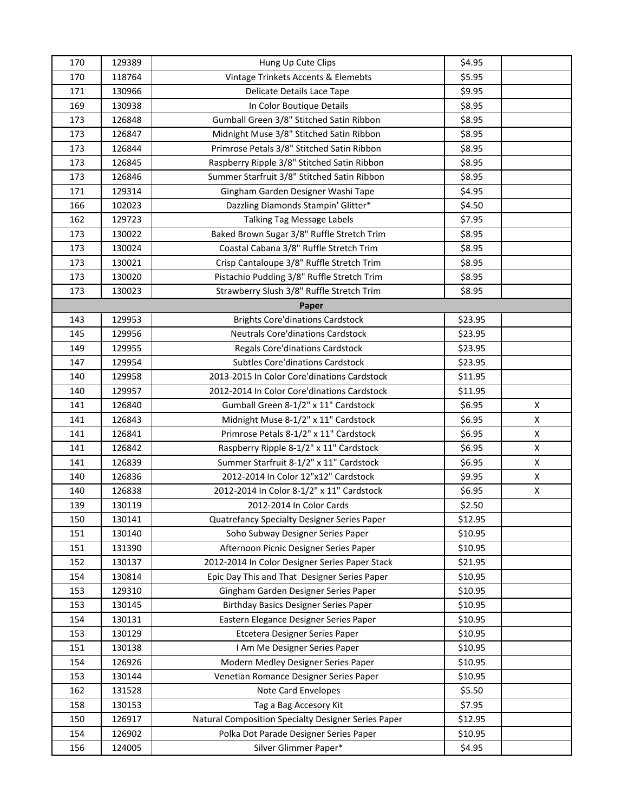| 170 | 129389 | Hung Up Cute Clips                                  | \$4.95  |                    |
|-----|--------|-----------------------------------------------------|---------|--------------------|
| 170 | 118764 | Vintage Trinkets Accents & Elemebts                 | \$5.95  |                    |
| 171 | 130966 | Delicate Details Lace Tape                          | \$9.95  |                    |
| 169 | 130938 | In Color Boutique Details                           | \$8.95  |                    |
| 173 | 126848 | Gumball Green 3/8" Stitched Satin Ribbon            | \$8.95  |                    |
| 173 | 126847 | Midnight Muse 3/8" Stitched Satin Ribbon            | \$8.95  |                    |
| 173 | 126844 | Primrose Petals 3/8" Stitched Satin Ribbon          | \$8.95  |                    |
| 173 | 126845 | Raspberry Ripple 3/8" Stitched Satin Ribbon         | \$8.95  |                    |
| 173 | 126846 | Summer Starfruit 3/8" Stitched Satin Ribbon         | \$8.95  |                    |
| 171 | 129314 | Gingham Garden Designer Washi Tape                  | \$4.95  |                    |
| 166 | 102023 | Dazzling Diamonds Stampin' Glitter*                 | \$4.50  |                    |
| 162 | 129723 | Talking Tag Message Labels                          | \$7.95  |                    |
| 173 | 130022 | Baked Brown Sugar 3/8" Ruffle Stretch Trim          | \$8.95  |                    |
| 173 | 130024 | Coastal Cabana 3/8" Ruffle Stretch Trim             | \$8.95  |                    |
| 173 | 130021 | Crisp Cantaloupe 3/8" Ruffle Stretch Trim           | \$8.95  |                    |
| 173 | 130020 | Pistachio Pudding 3/8" Ruffle Stretch Trim          | \$8.95  |                    |
| 173 | 130023 | Strawberry Slush 3/8" Ruffle Stretch Trim           | \$8.95  |                    |
|     |        | Paper                                               |         |                    |
| 143 | 129953 | <b>Brights Core'dinations Cardstock</b>             | \$23.95 |                    |
| 145 | 129956 | <b>Neutrals Core'dinations Cardstock</b>            | \$23.95 |                    |
| 149 | 129955 | Regals Core'dinations Cardstock                     | \$23.95 |                    |
| 147 | 129954 | <b>Subtles Core'dinations Cardstock</b>             | \$23.95 |                    |
| 140 | 129958 | 2013-2015 In Color Core'dinations Cardstock         | \$11.95 |                    |
| 140 | 129957 | 2012-2014 In Color Core'dinations Cardstock         | \$11.95 |                    |
| 141 | 126840 | Gumball Green 8-1/2" x 11" Cardstock                | \$6.95  | $\pmb{\mathsf{X}}$ |
| 141 | 126843 | Midnight Muse 8-1/2" x 11" Cardstock                | \$6.95  | $\pmb{\mathsf{X}}$ |
| 141 | 126841 | Primrose Petals 8-1/2" x 11" Cardstock              | \$6.95  | X                  |
| 141 | 126842 | Raspberry Ripple 8-1/2" x 11" Cardstock             | \$6.95  | $\pmb{\times}$     |
| 141 | 126839 | Summer Starfruit 8-1/2" x 11" Cardstock             | \$6.95  | $\pmb{\times}$     |
| 140 | 126836 | 2012-2014 In Color 12"x12" Cardstock                | \$9.95  | X                  |
| 140 | 126838 | 2012-2014 In Color 8-1/2" x 11" Cardstock           | \$6.95  | X                  |
| 139 | 130119 | 2012-2014 In Color Cards                            | \$2.50  |                    |
| 150 | 130141 | Quatrefancy Specialty Designer Series Paper         | \$12.95 |                    |
| 151 | 130140 | Soho Subway Designer Series Paper                   | \$10.95 |                    |
| 151 | 131390 | Afternoon Picnic Designer Series Paper              | \$10.95 |                    |
| 152 | 130137 | 2012-2014 In Color Designer Series Paper Stack      | \$21.95 |                    |
| 154 | 130814 | Epic Day This and That Designer Series Paper        | \$10.95 |                    |
| 153 | 129310 | Gingham Garden Designer Series Paper                | \$10.95 |                    |
| 153 | 130145 | <b>Birthday Basics Designer Series Paper</b>        | \$10.95 |                    |
| 154 | 130131 | Eastern Elegance Designer Series Paper              | \$10.95 |                    |
| 153 | 130129 | Etcetera Designer Series Paper                      | \$10.95 |                    |
| 151 | 130138 | I Am Me Designer Series Paper                       | \$10.95 |                    |
| 154 | 126926 | Modern Medley Designer Series Paper                 | \$10.95 |                    |
| 153 | 130144 | Venetian Romance Designer Series Paper              | \$10.95 |                    |
| 162 | 131528 | Note Card Envelopes                                 | \$5.50  |                    |
| 158 | 130153 | Tag a Bag Accesory Kit                              | \$7.95  |                    |
| 150 | 126917 | Natural Composition Specialty Designer Series Paper | \$12.95 |                    |
| 154 | 126902 | Polka Dot Parade Designer Series Paper              | \$10.95 |                    |
| 156 | 124005 | Silver Glimmer Paper*                               | \$4.95  |                    |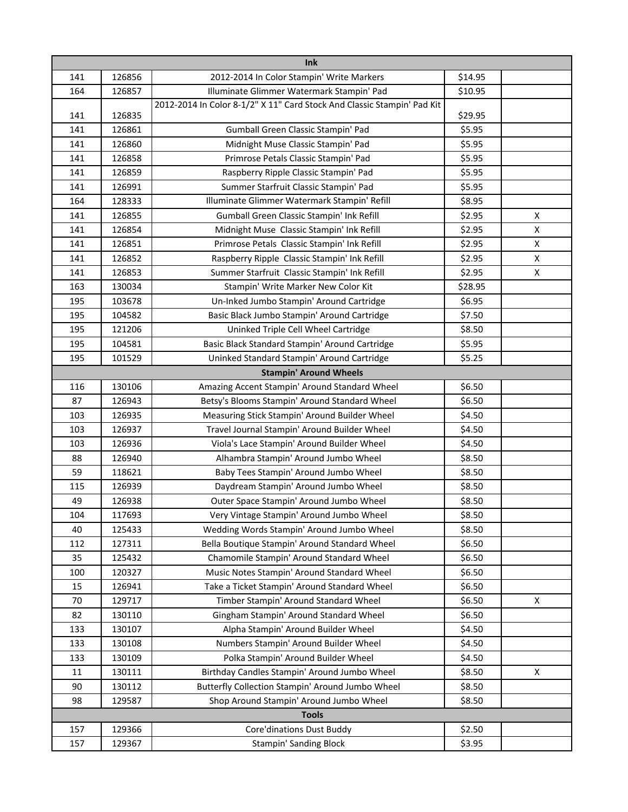| Ink          |                                                                       |                                                                                        |                  |                    |  |
|--------------|-----------------------------------------------------------------------|----------------------------------------------------------------------------------------|------------------|--------------------|--|
| 141          | 126856                                                                | 2012-2014 In Color Stampin' Write Markers                                              | \$14.95          |                    |  |
| 164          | 126857                                                                | Illuminate Glimmer Watermark Stampin' Pad                                              | \$10.95          |                    |  |
|              |                                                                       | 2012-2014 In Color 8-1/2" X 11" Card Stock And Classic Stampin' Pad Kit                |                  |                    |  |
| 141          | 126835                                                                |                                                                                        | \$29.95          |                    |  |
| 141          | 126861                                                                | Gumball Green Classic Stampin' Pad                                                     | \$5.95           |                    |  |
| 141          | 126860                                                                | Midnight Muse Classic Stampin' Pad                                                     | \$5.95           |                    |  |
| 141          | 126858                                                                | Primrose Petals Classic Stampin' Pad                                                   | \$5.95           |                    |  |
| 141          | 126859                                                                | Raspberry Ripple Classic Stampin' Pad                                                  | \$5.95           |                    |  |
| 141          | 126991                                                                | Summer Starfruit Classic Stampin' Pad                                                  | \$5.95           |                    |  |
| 164          | 128333                                                                | Illuminate Glimmer Watermark Stampin' Refill                                           | \$8.95           |                    |  |
| 141          | 126855                                                                | Gumball Green Classic Stampin' Ink Refill                                              | \$2.95           | X                  |  |
| 141          | 126854                                                                | Midnight Muse Classic Stampin' Ink Refill                                              | \$2.95           | $\pmb{\mathsf{X}}$ |  |
| 141          | 126851                                                                | Primrose Petals Classic Stampin' Ink Refill                                            | \$2.95           | X                  |  |
| 141          | 126852                                                                | Raspberry Ripple Classic Stampin' Ink Refill                                           | \$2.95           | $\pmb{\mathsf{X}}$ |  |
| 141          | 126853                                                                | Summer Starfruit Classic Stampin' Ink Refill                                           | \$2.95           | $\pmb{\mathsf{X}}$ |  |
| 163          | 130034                                                                | Stampin' Write Marker New Color Kit                                                    | \$28.95          |                    |  |
| 195          | 103678                                                                | Un-Inked Jumbo Stampin' Around Cartridge                                               | \$6.95           |                    |  |
| 195          | 104582                                                                | Basic Black Jumbo Stampin' Around Cartridge                                            | \$7.50           |                    |  |
| 195          | 121206                                                                | Uninked Triple Cell Wheel Cartridge                                                    | \$8.50<br>\$5.95 |                    |  |
| 195          | 104581                                                                | Basic Black Standard Stampin' Around Cartridge                                         |                  |                    |  |
|              | Uninked Standard Stampin' Around Cartridge<br>\$5.25<br>195<br>101529 |                                                                                        |                  |                    |  |
|              |                                                                       | <b>Stampin' Around Wheels</b>                                                          |                  |                    |  |
| 116          | 130106                                                                | Amazing Accent Stampin' Around Standard Wheel                                          | \$6.50           |                    |  |
| 87           | 126943                                                                | Betsy's Blooms Stampin' Around Standard Wheel                                          | \$6.50           |                    |  |
| 103          | 126935                                                                | Measuring Stick Stampin' Around Builder Wheel                                          | \$4.50           |                    |  |
| 103          | 126937                                                                | Travel Journal Stampin' Around Builder Wheel                                           | \$4.50           |                    |  |
| 103          | 126936<br>126940                                                      | Viola's Lace Stampin' Around Builder Wheel<br>Alhambra Stampin' Around Jumbo Wheel     | \$4.50<br>\$8.50 |                    |  |
| 88<br>59     | 118621                                                                | Baby Tees Stampin' Around Jumbo Wheel                                                  | \$8.50           |                    |  |
| 115          | 126939                                                                | Daydream Stampin' Around Jumbo Wheel                                                   | \$8.50           |                    |  |
| 49           | 126938                                                                | Outer Space Stampin' Around Jumbo Wheel                                                | \$8.50           |                    |  |
| 104          | 117693                                                                |                                                                                        |                  |                    |  |
| 40           |                                                                       | Very Vintage Stampin' Around Jumbo Wheel<br>Wedding Words Stampin' Around Jumbo Wheel  | \$8.50           |                    |  |
|              | 125433                                                                | Bella Boutique Stampin' Around Standard Wheel                                          | \$8.50<br>\$6.50 |                    |  |
| 112          | 127311<br>125432                                                      |                                                                                        | \$6.50           |                    |  |
| 35<br>100    | 120327                                                                | Chamomile Stampin' Around Standard Wheel<br>Music Notes Stampin' Around Standard Wheel | \$6.50           |                    |  |
| 15           | 126941                                                                | Take a Ticket Stampin' Around Standard Wheel                                           | \$6.50           |                    |  |
| 70           | 129717                                                                | Timber Stampin' Around Standard Wheel                                                  | \$6.50           | X                  |  |
| 82           | 130110                                                                | Gingham Stampin' Around Standard Wheel                                                 | \$6.50           |                    |  |
| 133          | 130107                                                                | Alpha Stampin' Around Builder Wheel                                                    | \$4.50           |                    |  |
| 133          | 130108                                                                | Numbers Stampin' Around Builder Wheel                                                  | \$4.50           |                    |  |
| 133          | 130109                                                                | Polka Stampin' Around Builder Wheel                                                    | \$4.50           |                    |  |
| 11           | 130111                                                                | Birthday Candles Stampin' Around Jumbo Wheel                                           | \$8.50           | X                  |  |
| 90           | 130112                                                                | Butterfly Collection Stampin' Around Jumbo Wheel                                       | \$8.50           |                    |  |
| 98           | 129587                                                                | Shop Around Stampin' Around Jumbo Wheel                                                | \$8.50           |                    |  |
| <b>Tools</b> |                                                                       |                                                                                        |                  |                    |  |
| 157          | 129366                                                                | Core'dinations Dust Buddy                                                              | \$2.50           |                    |  |
| 157          | 129367                                                                | <b>Stampin' Sanding Block</b>                                                          | \$3.95           |                    |  |
|              |                                                                       |                                                                                        |                  |                    |  |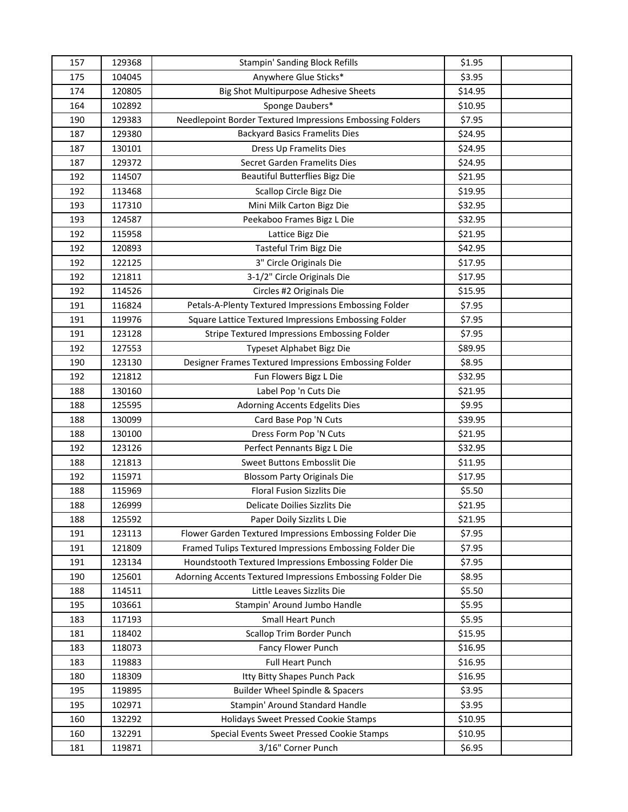| 157 | 129368 | <b>Stampin' Sanding Block Refills</b>                      | \$1.95  |  |
|-----|--------|------------------------------------------------------------|---------|--|
| 175 | 104045 | Anywhere Glue Sticks*                                      | \$3.95  |  |
| 174 | 120805 | Big Shot Multipurpose Adhesive Sheets                      | \$14.95 |  |
| 164 | 102892 | Sponge Daubers*                                            | \$10.95 |  |
| 190 | 129383 | Needlepoint Border Textured Impressions Embossing Folders  | \$7.95  |  |
| 187 | 129380 | <b>Backyard Basics Framelits Dies</b>                      | \$24.95 |  |
| 187 | 130101 | Dress Up Framelits Dies                                    | \$24.95 |  |
| 187 | 129372 | Secret Garden Framelits Dies                               | \$24.95 |  |
| 192 | 114507 | Beautiful Butterflies Bigz Die                             | \$21.95 |  |
| 192 | 113468 | Scallop Circle Bigz Die                                    | \$19.95 |  |
| 193 | 117310 | Mini Milk Carton Bigz Die                                  | \$32.95 |  |
| 193 | 124587 | Peekaboo Frames Bigz L Die                                 | \$32.95 |  |
| 192 | 115958 | Lattice Bigz Die                                           | \$21.95 |  |
| 192 | 120893 | Tasteful Trim Bigz Die                                     | \$42.95 |  |
| 192 | 122125 | 3" Circle Originals Die                                    | \$17.95 |  |
| 192 | 121811 | 3-1/2" Circle Originals Die                                | \$17.95 |  |
| 192 | 114526 | Circles #2 Originals Die                                   | \$15.95 |  |
| 191 | 116824 | Petals-A-Plenty Textured Impressions Embossing Folder      | \$7.95  |  |
| 191 | 119976 | Square Lattice Textured Impressions Embossing Folder       | \$7.95  |  |
| 191 | 123128 | Stripe Textured Impressions Embossing Folder               | \$7.95  |  |
| 192 | 127553 | Typeset Alphabet Bigz Die                                  | \$89.95 |  |
| 190 | 123130 | Designer Frames Textured Impressions Embossing Folder      | \$8.95  |  |
| 192 | 121812 | Fun Flowers Bigz L Die                                     | \$32.95 |  |
| 188 | 130160 | Label Pop 'n Cuts Die                                      | \$21.95 |  |
| 188 | 125595 | Adorning Accents Edgelits Dies                             | \$9.95  |  |
| 188 | 130099 | Card Base Pop 'N Cuts                                      | \$39.95 |  |
| 188 | 130100 | Dress Form Pop 'N Cuts                                     | \$21.95 |  |
| 192 | 123126 | Perfect Pennants Bigz L Die                                | \$32.95 |  |
| 188 | 121813 | Sweet Buttons Embosslit Die                                | \$11.95 |  |
| 192 | 115971 | <b>Blossom Party Originals Die</b>                         | \$17.95 |  |
| 188 | 115969 | Floral Fusion Sizzlits Die                                 | \$5.50  |  |
| 188 | 126999 | Delicate Doilies Sizzlits Die                              | \$21.95 |  |
| 188 | 125592 | Paper Doily Sizzlits L Die                                 | \$21.95 |  |
| 191 | 123113 | Flower Garden Textured Impressions Embossing Folder Die    | \$7.95  |  |
| 191 | 121809 | Framed Tulips Textured Impressions Embossing Folder Die    | \$7.95  |  |
| 191 | 123134 | Houndstooth Textured Impressions Embossing Folder Die      | \$7.95  |  |
| 190 | 125601 | Adorning Accents Textured Impressions Embossing Folder Die | \$8.95  |  |
| 188 | 114511 | Little Leaves Sizzlits Die                                 | \$5.50  |  |
| 195 | 103661 | Stampin' Around Jumbo Handle                               | \$5.95  |  |
| 183 | 117193 | Small Heart Punch                                          | \$5.95  |  |
| 181 | 118402 | Scallop Trim Border Punch                                  | \$15.95 |  |
| 183 | 118073 | Fancy Flower Punch                                         | \$16.95 |  |
| 183 | 119883 | <b>Full Heart Punch</b>                                    | \$16.95 |  |
| 180 | 118309 | Itty Bitty Shapes Punch Pack                               | \$16.95 |  |
| 195 | 119895 | Builder Wheel Spindle & Spacers                            | \$3.95  |  |
| 195 | 102971 | Stampin' Around Standard Handle                            | \$3.95  |  |
| 160 | 132292 | <b>Holidays Sweet Pressed Cookie Stamps</b>                | \$10.95 |  |
| 160 | 132291 | Special Events Sweet Pressed Cookie Stamps                 | \$10.95 |  |
| 181 | 119871 | 3/16" Corner Punch                                         | \$6.95  |  |